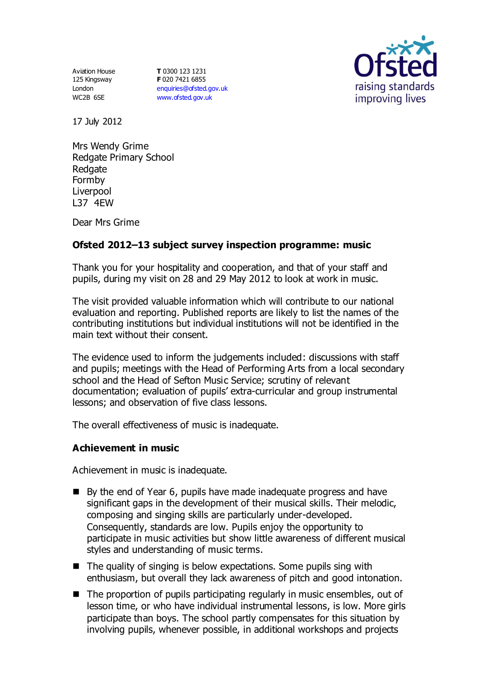Aviation House 125 Kingsway London WC2B 6SE

**T** 0300 123 1231 **F** 020 7421 6855 [enquiries@ofsted.gov.uk](mailto:enquiries@ofsted.gov.uk) [www.ofsted.gov.uk](http://www.ofsted.gov.uk/)



17 July 2012

Mrs Wendy Grime Redgate Primary School Redgate Formby Liverpool L37 4EW

Dear Mrs Grime

# **Ofsted 2012–13 subject survey inspection programme: music**

Thank you for your hospitality and cooperation, and that of your staff and pupils, during my visit on 28 and 29 May 2012 to look at work in music.

The visit provided valuable information which will contribute to our national evaluation and reporting. Published reports are likely to list the names of the contributing institutions but individual institutions will not be identified in the main text without their consent.

The evidence used to inform the judgements included: discussions with staff and pupils; meetings with the Head of Performing Arts from a local secondary school and the Head of Sefton Music Service; scrutiny of relevant documentation; evaluation of pupils' extra-curricular and group instrumental lessons; and observation of five class lessons.

The overall effectiveness of music is inadequate.

### **Achievement in music**

Achievement in music is inadequate.

- By the end of Year 6, pupils have made inadequate progress and have significant gaps in the development of their musical skills. Their melodic, composing and singing skills are particularly under-developed. Consequently, standards are low. Pupils enjoy the opportunity to participate in music activities but show little awareness of different musical styles and understanding of music terms.
- $\blacksquare$  The quality of singing is below expectations. Some pupils sing with enthusiasm, but overall they lack awareness of pitch and good intonation.
- The proportion of pupils participating regularly in music ensembles, out of lesson time, or who have individual instrumental lessons, is low. More girls participate than boys. The school partly compensates for this situation by involving pupils, whenever possible, in additional workshops and projects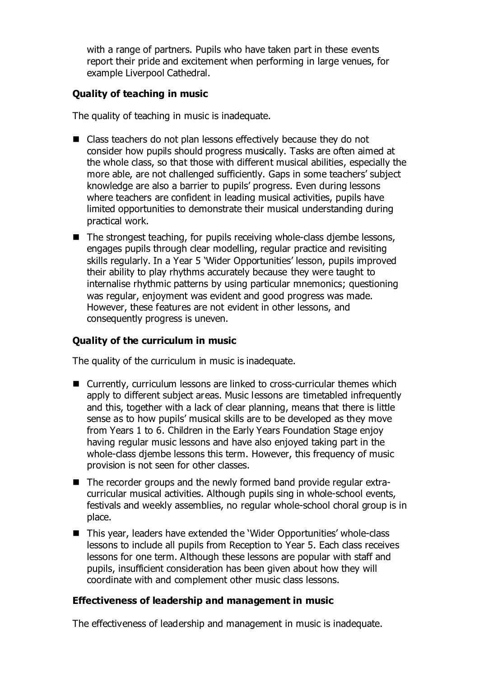with a range of partners. Pupils who have taken part in these events report their pride and excitement when performing in large venues, for example Liverpool Cathedral.

## **Quality of teaching in music**

The quality of teaching in music is inadequate.

- Class teachers do not plan lessons effectively because they do not consider how pupils should progress musically. Tasks are often aimed at the whole class, so that those with different musical abilities, especially the more able, are not challenged sufficiently. Gaps in some teachers' subject knowledge are also a barrier to pupils' progress. Even during lessons where teachers are confident in leading musical activities, pupils have limited opportunities to demonstrate their musical understanding during practical work.
- $\blacksquare$  The strongest teaching, for pupils receiving whole-class diembe lessons, engages pupils through clear modelling, regular practice and revisiting skills regularly. In a Year 5 'Wider Opportunities' lesson, pupils improved their ability to play rhythms accurately because they were taught to internalise rhythmic patterns by using particular mnemonics; questioning was regular, enjoyment was evident and good progress was made. However, these features are not evident in other lessons, and consequently progress is uneven.

### **Quality of the curriculum in music**

The quality of the curriculum in music is inadequate.

- Currently, curriculum lessons are linked to cross-curricular themes which apply to different subject areas. Music lessons are timetabled infrequently and this, together with a lack of clear planning, means that there is little sense as to how pupils' musical skills are to be developed as they move from Years 1 to 6. Children in the Early Years Foundation Stage enjoy having regular music lessons and have also enjoyed taking part in the whole-class djembe lessons this term. However, this frequency of music provision is not seen for other classes.
- The recorder groups and the newly formed band provide regular extracurricular musical activities. Although pupils sing in whole-school events, festivals and weekly assemblies, no regular whole-school choral group is in place.
- This year, leaders have extended the 'Wider Opportunities' whole-class lessons to include all pupils from Reception to Year 5. Each class receives lessons for one term. Although these lessons are popular with staff and pupils, insufficient consideration has been given about how they will coordinate with and complement other music class lessons.

### **Effectiveness of leadership and management in music**

The effectiveness of leadership and management in music is inadequate.